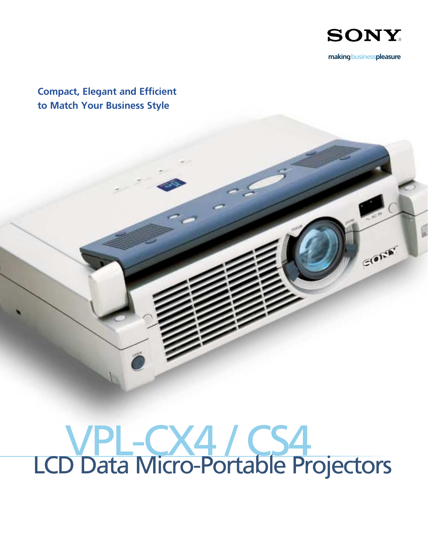

makingbusinesspleasure

GIORE

Compact, Elegant and Efficient to Match Your Business Style

# VPL-CX4 / CS4 LCD Data Micro-Portable Projectors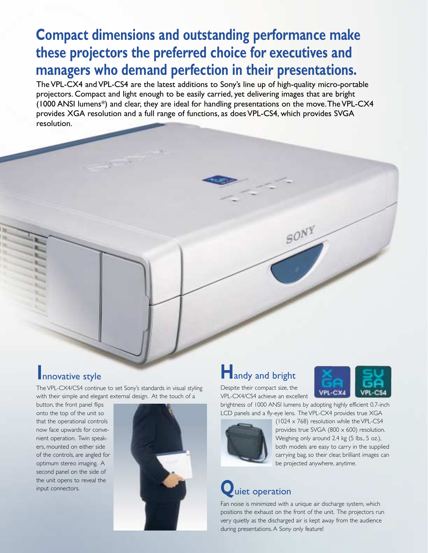### **Compact dimensions and outstanding performance make these projectors the preferred choice for executives and managers who demand perfection in their presentations.**

The VPL-CX4 and VPL-CS4 are the latest additions to Sony's line up of high-quality micro-portable projectors. Compact and light enough to be easily carried, yet delivering images that are bright (1000 ANSI lumens\*) and clear, they are ideal for handling presentations on the move.The VPL-CX4 provides XGA resolution and a full range of functions, as does VPL-CS4, which provides SVGA resolution.

The VPL-CX4/CS4 continue to set Sony's standards in visual styling with their simple and elegant external design. At the touch of a

button, the front panel flips onto the top of the unit so that the operational controls now face upwards for convenient operation. Twin speakers, mounted on either side of the controls, are angled for optimum stereo imaging. A second panel on the side of the unit opens to reveal the input connectors.



### **I**nnovative style **H**andy and bright



Despite their compact size, the VPL-CX4/CS4 achieve an excellent



both models are easy to carry in the supplied carrying bag, so their clear, brilliant images can be projected anywhere, anytime.

### **Q**uiet operation

Fan noise is minimized with a unique air discharge system, which positions the exhaust on the front of the unit. The projectors run very quietly as the discharged air is kept away from the audience during presentations. A Sony only feature!

SONY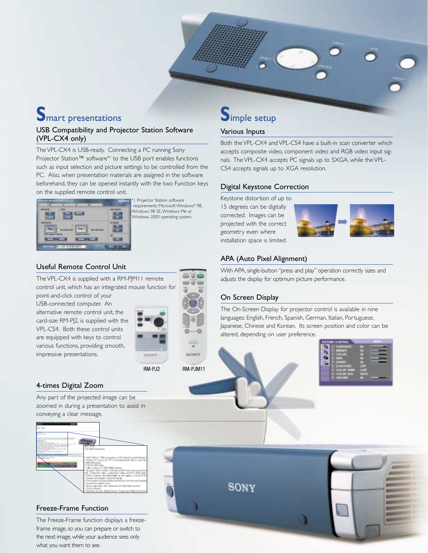## **S**mart presentations

### USB Compatibility and Projector Station Software (VPL-CX4 only)

The VPL-CX4 is USB-ready. Connecting a PC running Sony Projector Station™ software\*<sup>1</sup> to the USB port enables functions such as input selection and picture settings to be controlled from the PC. Also, when presentation materials are assigned in the software beforehand, they can be opened instantly with the two Function keys on the supplied remote control unit.



1 Projector Station software requirements: Microsoft Windows® 98, Windows 98 SE,Windows Me or Windows 2000 operating system.

### Useful Remote Control Unit

The VPL-CX4 is supplied with a RM-PJM11 remote control unit, which has an integrated mouse function for point-and-click control of your

USB-connected computer. An alternative remote control unit, the card-size RM-PJ2, is supplied with the VPL-CS4. Both these control units are equipped with keys to control various functions, providing smooth, impressive presentations.



RM-PJ2

4-times Digital Zoom

Any part of the projected image can be zoomed in during a presentation to assist in conveying a clear message.



### Freeze-Frame Function

The Freeze-Frame function displays a freezeframe image, so you can prepare or switch to the next image, while your audience sees only what you want them to see.

### **S**imple setup

### Various Inputs

Both the VPL-CX4 and VPL-CS4 have a built-in scan converter which accepts composite video, component video and RGB video input signals. The VPL-CX4 accepts PC signals up to SXGA, while the VPL-CS4 accepts signals up to XGA resolution.

### Digital Keystone Correction

Keystone distortion of up to 15 degrees can be digitally corrected. Images can be projected with the correct geometry even where installation space is limited.

![](_page_2_Picture_19.jpeg)

### APA (Auto Pixel Alignment)

With APA, single-button "press and play" operation correctly sizes and adjusts the display for optimum picture performance.

### On Screen Display

The On-Screen Display for projector control is available in nine languages: English, French, Spanish, German, Italian, Portuguese, Japanese, Chinese and Korean. Its screen position and color can be altered, depending on user preference.

![](_page_2_Picture_24.jpeg)

![](_page_2_Picture_25.jpeg)

![](_page_2_Picture_26.jpeg)

RM-PJM11